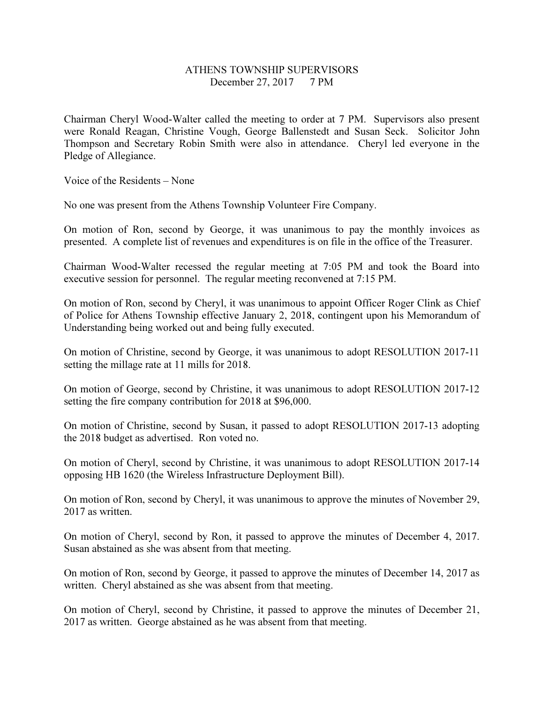## ATHENS TOWNSHIP SUPERVISORS December 27, 2017 7 PM

Chairman Cheryl Wood-Walter called the meeting to order at 7 PM. Supervisors also present were Ronald Reagan, Christine Vough, George Ballenstedt and Susan Seck. Solicitor John Thompson and Secretary Robin Smith were also in attendance. Cheryl led everyone in the Pledge of Allegiance.

Voice of the Residents – None

No one was present from the Athens Township Volunteer Fire Company.

On motion of Ron, second by George, it was unanimous to pay the monthly invoices as presented. A complete list of revenues and expenditures is on file in the office of the Treasurer.

Chairman Wood-Walter recessed the regular meeting at 7:05 PM and took the Board into executive session for personnel. The regular meeting reconvened at 7:15 PM.

On motion of Ron, second by Cheryl, it was unanimous to appoint Officer Roger Clink as Chief of Police for Athens Township effective January 2, 2018, contingent upon his Memorandum of Understanding being worked out and being fully executed.

On motion of Christine, second by George, it was unanimous to adopt RESOLUTION 2017-11 setting the millage rate at 11 mills for 2018.

On motion of George, second by Christine, it was unanimous to adopt RESOLUTION 2017-12 setting the fire company contribution for 2018 at \$96,000.

On motion of Christine, second by Susan, it passed to adopt RESOLUTION 2017-13 adopting the 2018 budget as advertised. Ron voted no.

On motion of Cheryl, second by Christine, it was unanimous to adopt RESOLUTION 2017-14 opposing HB 1620 (the Wireless Infrastructure Deployment Bill).

On motion of Ron, second by Cheryl, it was unanimous to approve the minutes of November 29, 2017 as written.

On motion of Cheryl, second by Ron, it passed to approve the minutes of December 4, 2017. Susan abstained as she was absent from that meeting.

On motion of Ron, second by George, it passed to approve the minutes of December 14, 2017 as written. Cheryl abstained as she was absent from that meeting.

On motion of Cheryl, second by Christine, it passed to approve the minutes of December 21, 2017 as written. George abstained as he was absent from that meeting.